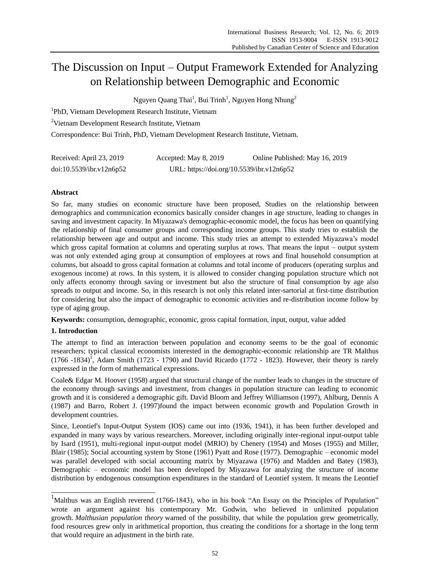# The Discussion on Input – Output Framework Extended for Analyzing on Relationship between Demographic and Economic

Nguyen Quang Thai $^1$ , Bui Trinh $^1$ , Nguyen Hong Nhung $^2$ 

<sup>1</sup>PhD, Vietnam Development Research Institute, Vietnam

<sup>2</sup>Vietnam Development Research Institute, Vietnam

Correspondence: Bui Trinh, PhD, Vietnam Development Research Institute, Vietnam.

| Received: April 23, 2019 | Accepted: May 8, 2019                     | Online Published: May 16, 2019 |
|--------------------------|-------------------------------------------|--------------------------------|
| doi:10.5539/ibr.v12n6p52 | URL: https://doi.org/10.5539/ibr.v12n6p52 |                                |

## **Abstract**

So far, many studies on economic structure have been proposed, Studies on the relationship between demographics and communication economics basically consider changes in age structure, leading to changes in saving and investment capacity. In Miyazawa's demographic-economic model, the focus has been on quantifying the relationship of final consumer groups and corresponding income groups. This study tries to establish the relationship between age and output and income. This study tries an attempt to extended Miyazawa's model which gross capital formation at columns and operating surplus at rows. That means the input – output system was not only extended aging group at consumption of employees at rows and final household consumption at columns, but alsoadd to gross capital formation at columns and total income of producers (operating surplus and exogenous income) at rows. In this system, it is allowed to consider changing population structure which not only affects economy through saving or investment but also the structure of final consumption by age also spreads to output and income. So, in this research is not only this related inter-sartorial at first-time distribution for considering but also the impact of demographic to economic activities and re-distribution income follow by type of aging group.

**Keywords:** consumption, demographic, economic, gross capital formation, input, output, value added

## **1. Introduction**

 $\overline{\phantom{a}}$ 

The attempt to find an interaction between population and economy seems to be the goal of economic researchers; typical classical economists interested in the demographic-economic relationship are TR Malthus  $(1766 - 1834)^1$ , Adam Smith  $(1723 - 1790)$  and David Ricardo  $(1772 - 1823)$ . However, their theory is rarely expressed in the form of mathematical expressions.

Coale& Edgar M. Hoover (1958) argued that structural change of the number leads to changes in the structure of the economy through savings and investment, from changes in population structure can leading to economic growth and it is considered a demographic gift. David Bloom and Jeffrey Williamson (1997), Ahlburg, Dennis A (1987) and Barro, Robert J. (1997)found the impact between economic growth and Population Growth in development countries.

Since, Leontief's Input-Output System (IOS) came out into (1936, 1941), it has been further developed and expanded in many ways by various researchers. Moreover, including originally inter-regional input-output table by Isard (1951), multi-regional input-output model (MRIO) by Chenery (1954) and Moses (1955) and Miller, Blair (1985); Social accounting system by Stone (1961) Pyatt and Rose (1977). Demographic – economic model was parallel developed with social accounting matrix by Miyazawa (1976) and Madden and Batey (1983), Demographic – economic model has been developed by Miyazawa for analyzing the structure of income distribution by endogenous consumption expenditures in the standard of Leontief system. It means the Leontief

 $1$ Malthus was an English reverend (1766-1843), who in his book "An Essay on the Principles of Population" wrote an argument against his contemporary Mr. Godwin, who believed in unlimited population growth. *[Malthusian population theory](https://www.policonomics.com/malthusian-population-theory)* warned of the possibility, that while the population grew geometrically, food resources grew only in arithmetical proportion, thus creating the conditions for a shortage in the long term that would require an adjustment in the birth rate.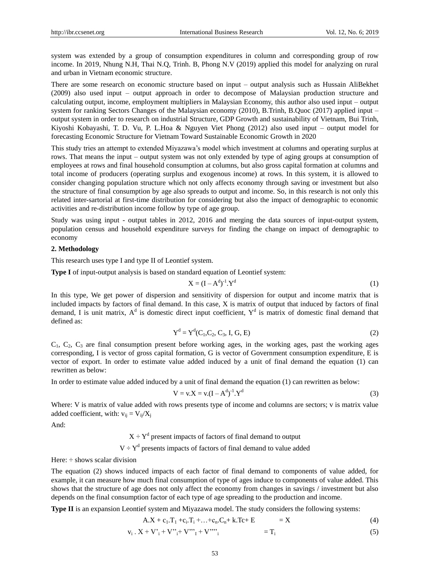system was extended by a group of consumption expenditures in column and corresponding group of row income. In 2019, Nhung N.H, Thai N.Q, Trinh. B, Phong N.V (2019) applied this model for analyzing on rural and urban in Vietnam economic structure.

There are some research on economic structure based on input – output analysis such as Hussain AliBekhet (2009) also used input – output approach in order to decompose of Malaysian production structure and calculating output, income, employment multipliers in Malaysian Economy, this author also used input – output system for ranking Sectors Changes of the Malaysian economy (2010), B.Trinh, B.Quoc (2017) applied input – output system in order to research on industrial Structure, GDP Growth and sustainability of Vietnam, Bui Trinh, Kiyoshi Kobayashi, T. D. Vu, P. L.Hoa & Nguyen Viet Phong (2012) also used input – output model for forecasting Economic Structure for Vietnam Toward Sustainable Economic Growth in 2020

This study tries an attempt to extended Miyazawa's model which investment at columns and operating surplus at rows. That means the input – output system was not only extended by type of aging groups at consumption of employees at rows and final household consumption at columns, but also gross capital formation at columns and total income of producers (operating surplus and exogenous income) at rows. In this system, it is allowed to consider changing population structure which not only affects economy through saving or investment but also the structure of final consumption by age also spreads to output and income. So, in this research is not only this related inter-sartorial at first-time distribution for considering but also the impact of demographic to economic activities and re-distribution income follow by type of age group.

Study was using input - output tables in 2012, 2016 and merging the data sources of input-output system, population census and household expenditure surveys for finding the change on impact of demographic to economy

#### **2. Methodology**

This research uses type I and type II of Leontief system.

**Type I** of input-output analysis is based on standard equation of Leontief system:

$$
X = (I - Ad)-1 \cdot Yd
$$
 (1)

In this type, We get power of dispersion and sensitivity of dispersion for output and income matrix that is included impacts by factors of final demand. In this case, X is matrix of output that induced by factors of final demand, I is unit matrix,  $A^d$  is domestic direct input coefficient,  $Y^d$  is matrix of domestic final demand that defined as:

$$
Yd = Yd(C1, C2, C3, I, G, E)
$$
 (2)

 $C_1$ ,  $C_2$ ,  $C_3$  are final consumption present before working ages, in the working ages, past the working ages corresponding, I is vector of gross capital formation, G is vector of Government consumption expenditure, E is vector of export. In order to estimate value added induced by a unit of final demand the equation (1) can rewritten as below:

In order to estimate value added induced by a unit of final demand the equation (1) can rewritten as below:

$$
V = v.X = v.(I - Ad)-1.Yd
$$
 (3)

Where: V is matrix of value added with rows presents type of income and columns are sectors; v is matrix value added coefficient, with:  $v_{ii} = V_{ii}/X_i$ 

And:

 $X \div Y^d$  present impacts of factors of final demand to output

 $V \div Y^d$  presents impacts of factors of final demand to value added

Here: ÷ shows scalar division

The equation (2) shows induced impacts of each factor of final demand to components of value added, for example, it can measure how much final consumption of type of ages induce to components of value added. This shows that the structure of age does not only affect the economy from changes in savings / investment but also depends on the final consumption factor of each type of age spreading to the production and income.

**Type II** is an expansion Leontief system and Miyazawa model. The study considers the following systems:

$$
A.X + c_1.T_1 + c_i.T_i + ... + c_n.C_n + k.Tc + E = X
$$
  
\n
$$
v_i. X + V_i + V_i'' + V_i'' + V_i''
$$
  
\n
$$
= T_i
$$
 (4)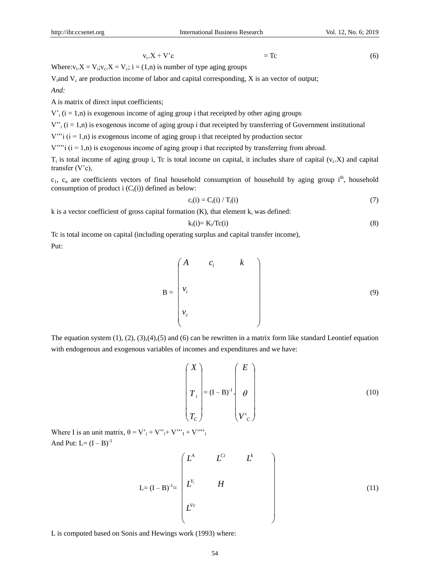$$
(6)
$$

$$
v_c \cdot X + V^c \qquad \qquad = Tc \tag{6}
$$

Where: $v_i$ : $X = V_i$ ; $v_c$ : $X = V_c$ ;  $i = (1, n)$  is number of type aging groups

V<sub>i</sub>and  $V_c$  are production income of labor and capital corresponding, X is an vector of output; *And:*

A is matrix of direct input coefficients;

 $V_i$  (i = 1,n) is exogenous income of aging group i that receipted by other aging groups

 $V''_i$  (i = 1,n) is exogenous income of aging group i that receipted by transferring of Government institutional

 $V'''$ i (i = 1,n) is exogenous income of aging group i that receipted by production sector

 $V'''$ i (i = 1,n) is exogenous income of aging group i that receipted by transferring from abroad.

 $T_i$  is total income of aging group i, Tc is total income on capital, it includes share of capital ( $v_c$ .X) and capital transfer (V'c),

 $c_1$ ,  $c_n$  are coefficients vectors of final household consumption of household by aging group i<sup>th</sup>, household consumption of product i  $(C_i(i))$  defined as below:

$$
c_i(i) = C_i(i) / T_i(i)
$$
 (7)

k is a vector coefficient of gross capital formation  $(K)$ , that element  $k_i$  was defined:

$$
k_i(i) = K_i / Tc(i)
$$
 (8)

Tc is total income on capital (including operating surplus and capital transfer income), Put:

$$
\mathbf{B} = \begin{pmatrix} A & c_i & k \\ v_i & & \\ v_c & & \end{pmatrix} \tag{9}
$$

The equation system  $(1)$ ,  $(2)$ ,  $(3)$ ,  $(4)$ ,  $(5)$  and  $(6)$  can be rewritten in a matrix form like standard Leontief equation with endogenous and exogenous variables of incomes and expenditures and we have:

$$
\begin{pmatrix} X \\ T_i \\ T_c \end{pmatrix} = (I - B)^{-1} \begin{pmatrix} E \\ \theta \\ V_c \end{pmatrix}
$$
 (10)

Where I is an unit matrix,  $\theta = V_i + V_i'' + V_i'' + V_i''''$ And Put:  $L = (I - B)^{-1}$ 

$$
L=(I-B)^{-1}=\begin{pmatrix}L^{A} & L^{Ci} & L^{k} \\ L^{V_{i}} & H & \\ L^{V_{c}} & & \end{pmatrix}
$$
 (11)

L is computed based on Sonis and Hewings work (1993) where: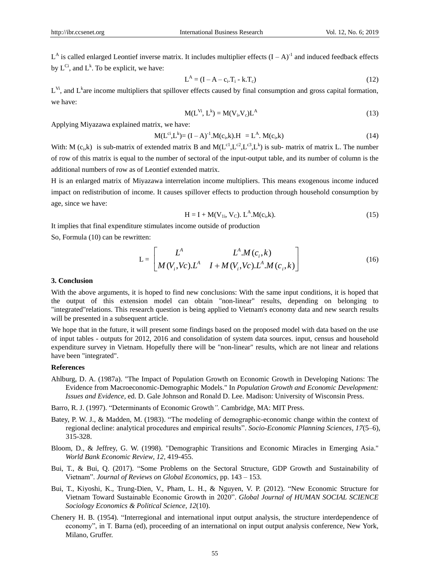$L^A$  is called enlarged Leontief inverse matrix. It includes multiplier effects  $(I - A)^{-1}$  and induced feedback effects by  $L^{C_i}$ , and  $L^k$ . To be explicit, we have:

$$
L^{A} = (I - A - c_{i}.T_{i} - k.T_{c})
$$
\n(12)

 $L^{VI}$ , and  $L^{k}$  are income multipliers that spillover effects caused by final consumption and gross capital formation, we have:

$$
M(L^{V_i}, L^k) = M(V_i, V_c)L^A
$$
 (13)

Applying Miyazawa explained matrix, we have:

$$
M(L^{ci}, L^k) = (I - A)^{-1}.M(c_i, k).H = L^A. M(c_i, k)
$$
\n(14)

With: M (c<sub>i</sub>,k) is sub-matrix of extended matrix B and M( $L^{c1}, L^{c2}, L^{c3}, L^k$ ) is sub- matrix of matrix L. The number of row of this matrix is equal to the number of sectoral of the input-output table, and its number of column is the additional numbers of row as of Leontief extended matrix.

H is an enlarged matrix of Miyazawa interrelation income multipliers. This means exogenous income induced impact on redistribution of income. It causes spillover effects to production through household consumption by age, since we have:

$$
H = I + M(V_{1i}, V_C). L^A.M(c_i, k). \tag{15}
$$

It implies that final expenditure stimulates income outside of production So, Formula (10) can be rewritten:

$$
L = \begin{bmatrix} L^A & L^A.M(c_i, k) \\ M(V_i, Vc).L^A & I + M(V_i, Vc).L^A.M(c_i, k) \end{bmatrix}
$$
 (16)

### **3. Conclusion**

With the above arguments, it is hoped to find new conclusions: With the same input conditions, it is hoped that the output of this extension model can obtain "non-linear" results, depending on belonging to "integrated"relations. This research question is being applied to Vietnam's economy data and new search results will be presented in a subsequent article.

We hope that in the future, it will present some findings based on the proposed model with data based on the use of input tables - outputs for 2012, 2016 and consolidation of system data sources. input, census and household expenditure survey in Vietnam. Hopefully there will be "non-linear" results, which are not linear and relations have been "integrated".

## **References**

- Ahlburg, D. A. (1987a). "The Impact of Population Growth on Economic Growth in Developing Nations: The Evidence from Macroeconomic-Demographic Models." In *Population Growth and Economic Development: Issues and Evidence,* ed. D. Gale Johnson and Ronald D. Lee. Madison: [University of Wisconsin](https://www.encyclopedia.com/social-sciences-and-law/education/colleges-us/university-wisconsin) Press.
- Barro, R. J. (1997). "Determinants of Economic Growth*".* Cambridge, MA: MIT Press.
- Batey, P. W. J., & Madden, M. (1983). "The modeling of demographic-economic change within the context of regional decline: analytical procedures and empirical results". *Socio-Economic Planning Sciences, 17*(5–6), 315-328.
- Bloom, D., & Jeffrey, G. W. (1998). "Demographic Transitions and Economic Miracles in Emerging Asia." *[World Bank](https://www.encyclopedia.com/social-sciences-and-law/political-science-and-government/united-nations/world-bank) Economic Review, 12,* 419-455.
- Bui, T., & Bui, Q. (2017). "Some Problems on the Sectoral Structure, GDP Growth and Sustainability of Vietnam". *Journal of Reviews on Global Economics,* pp. 143 – 153.
- Bui, T., Kiyoshi, K., Trung-Dien, V., Pham, L. H., & Nguyen, V. P. (2012). "New Economic Structure for Vietnam Toward Sustainable Economic Growth in 2020". *Global Journal of HUMAN SOCIAL SCIENCE Sociology Economics & Political Science, 12*(10).
- Chenery H. B. (1954). "Interregional and international input output analysis, the structure interdependence of economy", in T. Barna (ed), proceeding of an international on input output analysis conference, New York, Milano, Gruffer.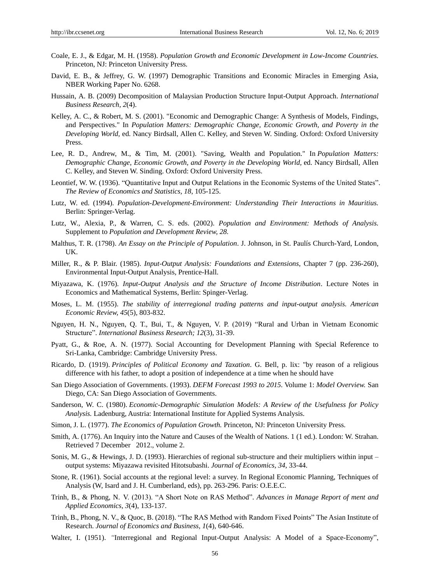- Coale, E. J., & Edgar, M. H. (1958). *Population Growth and Economic Development in Low-Income Countries.* Princeton, NJ: [Princeton University](https://www.encyclopedia.com/social-sciences-and-law/education/colleges-us/princeton-university) Press.
- [David,](https://www.nber.org/people/david_bloom) E. B., & [Jeffrey,](https://www.nber.org/people/jeffrey_williamson) G. W. (1997) Demographic Transitions and Economic Miracles in Emerging Asia, NBER Working Paper No. 6268.
- Hussain, A. B. (2009) Decomposition of Malaysian Production Structure Input-Output Approach. *International Business Research, 2*(4).
- Kelley, A. C., & Robert, M. S. (2001). "Economic and Demographic Change: A Synthesis of Models, Findings, and Perspectives." In *Population Matters: Demographic Change, Economic Growth, and Poverty in the Developing World,* ed. Nancy Birdsall, Allen C. Kelley, and Steven W. Sinding. Oxford: [Oxford University](https://www.encyclopedia.com/social-sciences-and-law/education/colleges-international/oxford-university) Press.
- Lee, R. D., Andrew, M., & Tim, M. (2001). "Saving, Wealth and Population." In *Population Matters: Demographic Change, Economic Growth, and Poverty in the Developing World,* ed. Nancy Birdsall, Allen C. Kelley, and Steven W. Sinding. Oxford: [Oxford University](https://www.encyclopedia.com/social-sciences-and-law/education/colleges-international/oxford-university) Press.
- Leontief, W. W. (1936). "Quantitative Input and Output Relations in the Economic Systems of the United States". *The Review of Economics and Statistics, 18*, 105-125.
- Lutz, W. ed. (1994). *Population-Development-Environment: Understanding Their Interactions in Mauritius.* Berlin: Springer-Verlag.
- Lutz, W., Alexia, P., & Warren, C. S. eds. (2002). *Population and Environment: Methods of Analysis.* Supplement to *Population and Development Review, 28.*
- Malthus, T. R. (1798). *An Essay on the Principle of Population*. J. Johnson, in St. Paulís Church-Yard, London, UK.
- Miller, R., & P. Blair. (1985). *Input-Output Analysis: Foundations and Extensions*, Chapter 7 (pp. 236-260), Environmental Input-Output Analysis, Prentice-Hall.
- Miyazawa, K. (1976). *Input-Output Analysis and the Structure of Income Distribution*. Lecture Notes in Economics and Mathematical Systems, Berlin: Spinger-Verlag.
- Moses, L. M. (1955). *The stability of interregional trading patterns and input-output analysis. American Economic Review, 45*(5), 803-832.
- Nguyen, H. N., Nguyen, Q. T., Bui, T., & Nguyen, V. P. (2019) "Rural and Urban in Vietnam Economic Structure". *International Business Research; 12*(3), 31-39.
- Pyatt, G., & Roe, A. N. (1977). Social Accounting for Development Planning with Special Reference to Sri-Lanka, Cambridge: Cambridge University Press.
- Ricardo, D. (1919). *Principles of Political Economy and Taxation*. G. Bell, p. lix: "by reason of a religious difference with his father, to adopt a position of independence at a time when he should have
- [San Diego](https://www.encyclopedia.com/places/united-states-and-canada/us-political-geography/san-diego) Association of Governments. (1993). *DEFM Forecast 1993 to 2015.* Volume 1: *Model Overview.* San Diego, CA: San Diego Association of Governments.
- Sanderson, W. C. (1980). *Economic-Demographic Simulation Models: A Review of the Usefulness for Policy Analysis.* Ladenburg, Austria: International Institute for Applied Systems Analysis.
- Simon, J. L. (1977). *The Economics of Population Growth.* Princeton, NJ: [Princeton University](https://www.encyclopedia.com/social-sciences-and-law/education/colleges-us/princeton-university) Press.
- [Smith, A.](https://en.wikipedia.org/wiki/Adam_Smith) (1776). [An Inquiry into the Nature and Causes of the Wealth of Nations.](https://books.google.com/books?id=C5dNAAAAcAAJ&pg=PP7#v=onepage&q&f=true) 1 (1 ed.). London: W. Strahan. Retrieved 7 December 2012., [volume 2.](https://books.google.com/books?id=mt1SAAAAcAAJ&pg=PP4#v=twopage&q&f=true)
- Sonis, M. G., & Hewings, J. D. (1993). Hierarchies of regional sub-structure and their multipliers within input output systems: Miyazawa revisited Hitotsubashi. *Journal of Economics, 34,* 33-44.
- Stone, R. (1961). Social accounts at the regional level: a survey. In Regional Economic Planning, Techniques of Analysis (W, Isard and J. H. Cumberland, eds), pp. 263-296. Paris: O.E.E.C.
- Trinh, B., & Phong, N. V. (2013). "A Short Note on RAS Method". *Advances in Manage Report of ment and Applied Economics, 3*(4), 133-137.
- Trinh, B., Phong, N. V., & Quoc, B. (2018). "The RAS Method with Random Fixed Points" The Asian Institute of Research. *Journal of Economics and Business, 1*(4), 640-646.
- Walter, I. (1951). *"*Interregional and Regional Input-Output Analysis: A Model of a Space-Economy",